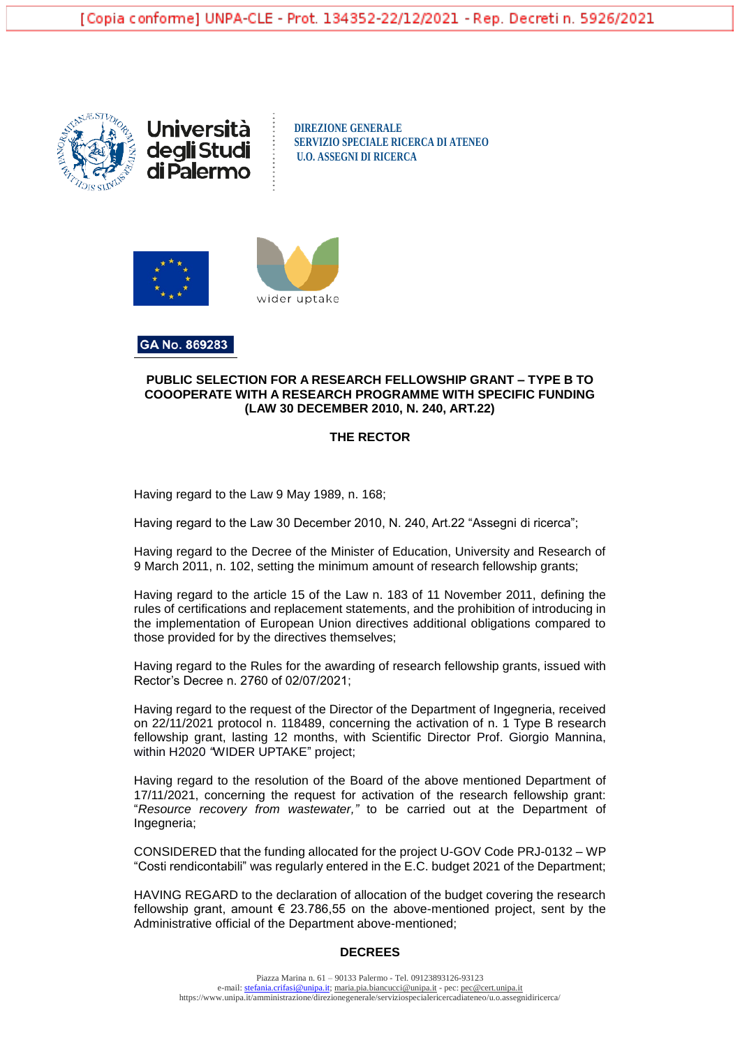





GA No. 869283

### **PUBLIC SELECTION FOR A RESEARCH FELLOWSHIP GRANT – TYPE B TO COOOPERATE WITH A RESEARCH PROGRAMME WITH SPECIFIC FUNDING (LAW 30 DECEMBER 2010, N. 240, ART.22)**

### **THE RECTOR**

Having regard to the Law 9 May 1989, n. 168;

Having regard to the Law 30 December 2010, N. 240, Art.22 "Assegni di ricerca";

Having regard to the Decree of the Minister of Education, University and Research of 9 March 2011, n. 102, setting the minimum amount of research fellowship grants;

Having regard to the article 15 of the Law n. 183 of 11 November 2011, defining the rules of certifications and replacement statements, and the prohibition of introducing in the implementation of European Union directives additional obligations compared to those provided for by the directives themselves;

Having regard to the Rules for the awarding of research fellowship grants, issued with Rector's Decree n. 2760 of 02/07/2021;

Having regard to the request of the Director of the Department of Ingegneria, received on 22/11/2021 protocol n. 118489, concerning the activation of n. 1 Type B research fellowship grant, lasting 12 months, with Scientific Director Prof. Giorgio Mannina, within H2020 *"*WIDER UPTAKE" project;

Having regard to the resolution of the Board of the above mentioned Department of 17/11/2021, concerning the request for activation of the research fellowship grant: "*Resource recovery from wastewater,"* to be carried out at the Department of Ingegneria;

CONSIDERED that the funding allocated for the project U-GOV Code PRJ-0132 – WP "Costi rendicontabili" was regularly entered in the E.C. budget 2021 of the Department;

HAVING REGARD to the declaration of allocation of the budget covering the research fellowship grant, amount  $\epsilon$  23.786,55 on the above-mentioned project, sent by the Administrative official of the Department above-mentioned;

# **DECREES**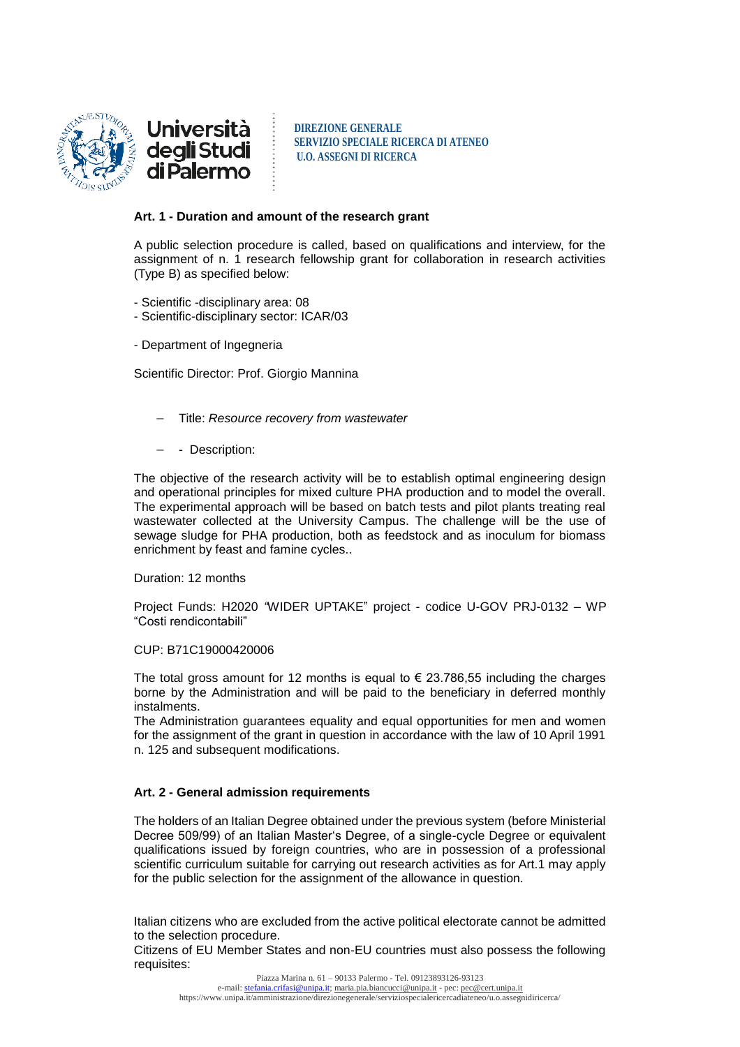

<u>Università</u> deg**li** Studi<br>di Palermo

**DIREZIONE GENERALE SERVIZIO SPECIALE RICERCA DI ATENEO U.O. ASSEGNI DI RICERCA**

### **Art. 1 - Duration and amount of the research grant**

A public selection procedure is called, based on qualifications and interview, for the assignment of n. 1 research fellowship grant for collaboration in research activities (Type B) as specified below:

- Scientific -disciplinary area: 08
- Scientific-disciplinary sector: ICAR/03
- Department of Ingegneria

Scientific Director: Prof. Giorgio Mannina

- Title: *Resource recovery from wastewater*
- - Description:

The objective of the research activity will be to establish optimal engineering design and operational principles for mixed culture PHA production and to model the overall. The experimental approach will be based on batch tests and pilot plants treating real wastewater collected at the University Campus. The challenge will be the use of sewage sludge for PHA production, both as feedstock and as inoculum for biomass enrichment by feast and famine cycles..

Duration: 12 months

Project Funds: H2020 *"*WIDER UPTAKE" project - codice U-GOV PRJ-0132 – WP "Costi rendicontabili"

### CUP: B71C19000420006

The total gross amount for 12 months is equal to  $\epsilon$  23.786,55 including the charges borne by the Administration and will be paid to the beneficiary in deferred monthly instalments.

The Administration guarantees equality and equal opportunities for men and women for the assignment of the grant in question in accordance with the law of 10 April 1991 n. 125 and subsequent modifications.

# **Art. 2 - General admission requirements**

The holders of an Italian Degree obtained under the previous system (before Ministerial Decree 509/99) of an Italian Master's Degree, of a single-cycle Degree or equivalent qualifications issued by foreign countries, who are in possession of a professional scientific curriculum suitable for carrying out research activities as for Art.1 may apply for the public selection for the assignment of the allowance in question.

Italian citizens who are excluded from the active political electorate cannot be admitted to the selection procedure.

Citizens of EU Member States and non-EU countries must also possess the following requisites: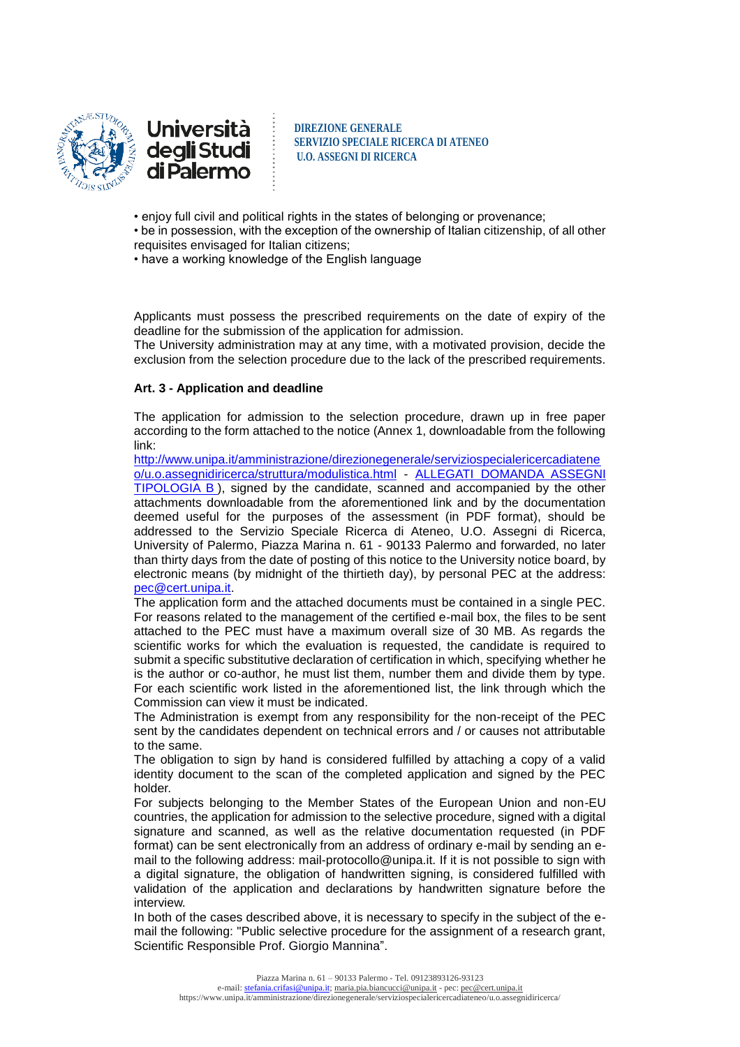

<u>Università</u> deg**li** Studi<br>di Palermo

**DIREZIONE GENERALE SERVIZIO SPECIALE RICERCA DI ATENEO U.O. ASSEGNI DI RICERCA**

- enjoy full civil and political rights in the states of belonging or provenance;
- be in possession, with the exception of the ownership of Italian citizenship, of all other requisites envisaged for Italian citizens;
- have a working knowledge of the English language

Applicants must possess the prescribed requirements on the date of expiry of the deadline for the submission of the application for admission.

The University administration may at any time, with a motivated provision, decide the exclusion from the selection procedure due to the lack of the prescribed requirements.

# **Art. 3 - Application and deadline**

The application for admission to the selection procedure, drawn up in free paper according to the form attached to the notice (Annex 1, downloadable from the following link:

[http://www.unipa.it/amministrazione/direzionegenerale/serviziospecialericercadiatene](http://www.unipa.it/amministrazione/direzionegenerale/serviziospecialericercadiateneo/u.o.assegnidiricerca/struttura/modulistica.html) [o/u.o.assegnidiricerca/struttura/modulistica.html](http://www.unipa.it/amministrazione/direzionegenerale/serviziospecialericercadiateneo/u.o.assegnidiricerca/struttura/modulistica.html) - [ALLEGATI DOMANDA ASSEGNI](http://www.unipa.it/amministrazione/direzionegenerale/serviziospecialericercadiateneo/u.o.assegnidiricerca/.content/documenti/allegati_domanda_ass._tipologia_b_.doc)  [TIPOLOGIA B](http://www.unipa.it/amministrazione/direzionegenerale/serviziospecialericercadiateneo/u.o.assegnidiricerca/.content/documenti/allegati_domanda_ass._tipologia_b_.doc) ), signed by the candidate, scanned and accompanied by the other attachments downloadable from the aforementioned link and by the documentation deemed useful for the purposes of the assessment (in PDF format), should be addressed to the Servizio Speciale Ricerca di Ateneo, U.O. Assegni di Ricerca, University of Palermo, Piazza Marina n. 61 - 90133 Palermo and forwarded, no later than thirty days from the date of posting of this notice to the University notice board, by electronic means (by midnight of the thirtieth day), by personal PEC at the address: [pec@cert.unipa.it.](mailto:pec@cert.unipa.it)

The application form and the attached documents must be contained in a single PEC. For reasons related to the management of the certified e-mail box, the files to be sent attached to the PEC must have a maximum overall size of 30 MB. As regards the scientific works for which the evaluation is requested, the candidate is required to submit a specific substitutive declaration of certification in which, specifying whether he is the author or co-author, he must list them, number them and divide them by type. For each scientific work listed in the aforementioned list, the link through which the Commission can view it must be indicated.

The Administration is exempt from any responsibility for the non-receipt of the PEC sent by the candidates dependent on technical errors and / or causes not attributable to the same.

The obligation to sign by hand is considered fulfilled by attaching a copy of a valid identity document to the scan of the completed application and signed by the PEC holder.

For subjects belonging to the Member States of the European Union and non-EU countries, the application for admission to the selective procedure, signed with a digital signature and scanned, as well as the relative documentation requested (in PDF format) can be sent electronically from an address of ordinary e-mail by sending an email to the following address: mail-protocollo@unipa.it. If it is not possible to sign with a digital signature, the obligation of handwritten signing, is considered fulfilled with validation of the application and declarations by handwritten signature before the interview.

In both of the cases described above, it is necessary to specify in the subject of the email the following: "Public selective procedure for the assignment of a research grant, Scientific Responsible Prof. Giorgio Mannina".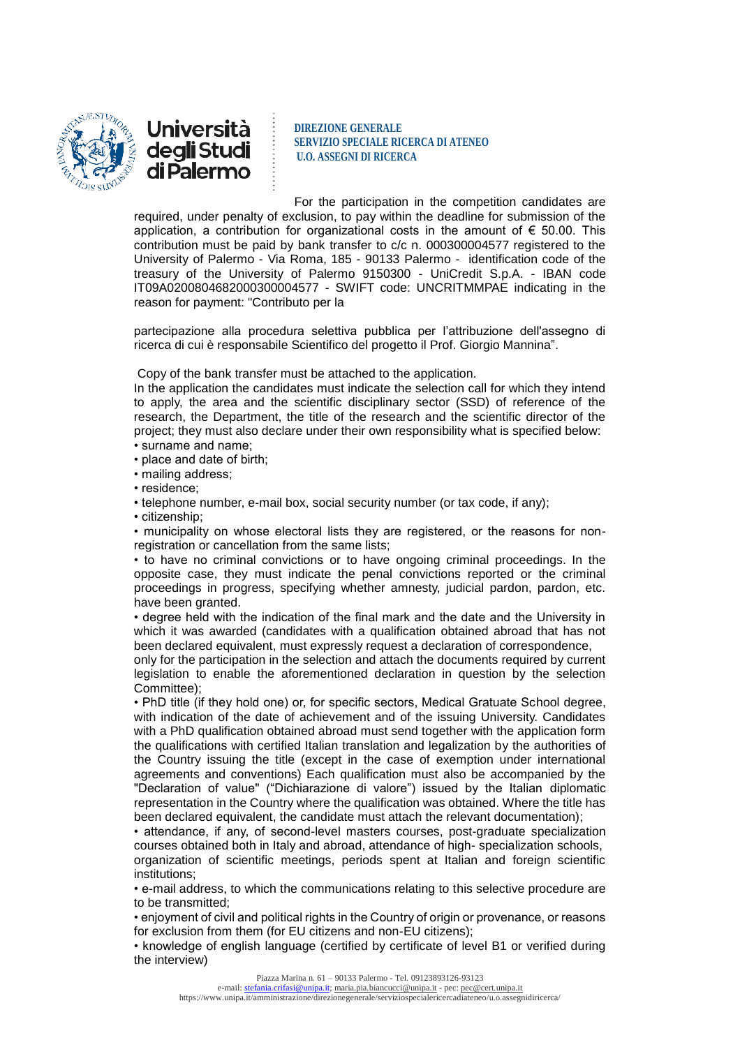



For the participation in the competition candidates are required, under penalty of exclusion, to pay within the deadline for submission of the application, a contribution for organizational costs in the amount of  $\epsilon$  50.00. This contribution must be paid by bank transfer to c/c n. 000300004577 registered to the University of Palermo - Via Roma, 185 - 90133 Palermo - identification code of the treasury of the University of Palermo 9150300 - UniCredit S.p.A. - IBAN code IT09A0200804682000300004577 - SWIFT code: UNCRITMMPAE indicating in the reason for payment: "Contributo per la

partecipazione alla procedura selettiva pubblica per l'attribuzione dell'assegno di ricerca di cui è responsabile Scientifico del progetto il Prof. Giorgio Mannina".

Copy of the bank transfer must be attached to the application.

In the application the candidates must indicate the selection call for which they intend to apply, the area and the scientific disciplinary sector (SSD) of reference of the research, the Department, the title of the research and the scientific director of the project; they must also declare under their own responsibility what is specified below: • surname and name;

• place and date of birth;

• mailing address;

• residence;

• telephone number, e-mail box, social security number (or tax code, if any);

• citizenship;

• municipality on whose electoral lists they are registered, or the reasons for nonregistration or cancellation from the same lists;

• to have no criminal convictions or to have ongoing criminal proceedings. In the opposite case, they must indicate the penal convictions reported or the criminal proceedings in progress, specifying whether amnesty, judicial pardon, pardon, etc. have been granted.

• degree held with the indication of the final mark and the date and the University in which it was awarded (candidates with a qualification obtained abroad that has not been declared equivalent, must expressly request a declaration of correspondence,

only for the participation in the selection and attach the documents required by current legislation to enable the aforementioned declaration in question by the selection Committee);

• PhD title (if they hold one) or, for specific sectors, Medical Gratuate School degree, with indication of the date of achievement and of the issuing University. Candidates with a PhD qualification obtained abroad must send together with the application form the qualifications with certified Italian translation and legalization by the authorities of the Country issuing the title (except in the case of exemption under international agreements and conventions) Each qualification must also be accompanied by the "Declaration of value" ("Dichiarazione di valore") issued by the Italian diplomatic representation in the Country where the qualification was obtained. Where the title has been declared equivalent, the candidate must attach the relevant documentation);

• attendance, if any, of second-level masters courses, post-graduate specialization courses obtained both in Italy and abroad, attendance of high- specialization schools, organization of scientific meetings, periods spent at Italian and foreign scientific institutions;

• e-mail address, to which the communications relating to this selective procedure are to be transmitted;

• enjoyment of civil and political rights in the Country of origin or provenance, or reasons for exclusion from them (for EU citizens and non-EU citizens);

• knowledge of english language (certified by certificate of level B1 or verified during the interview)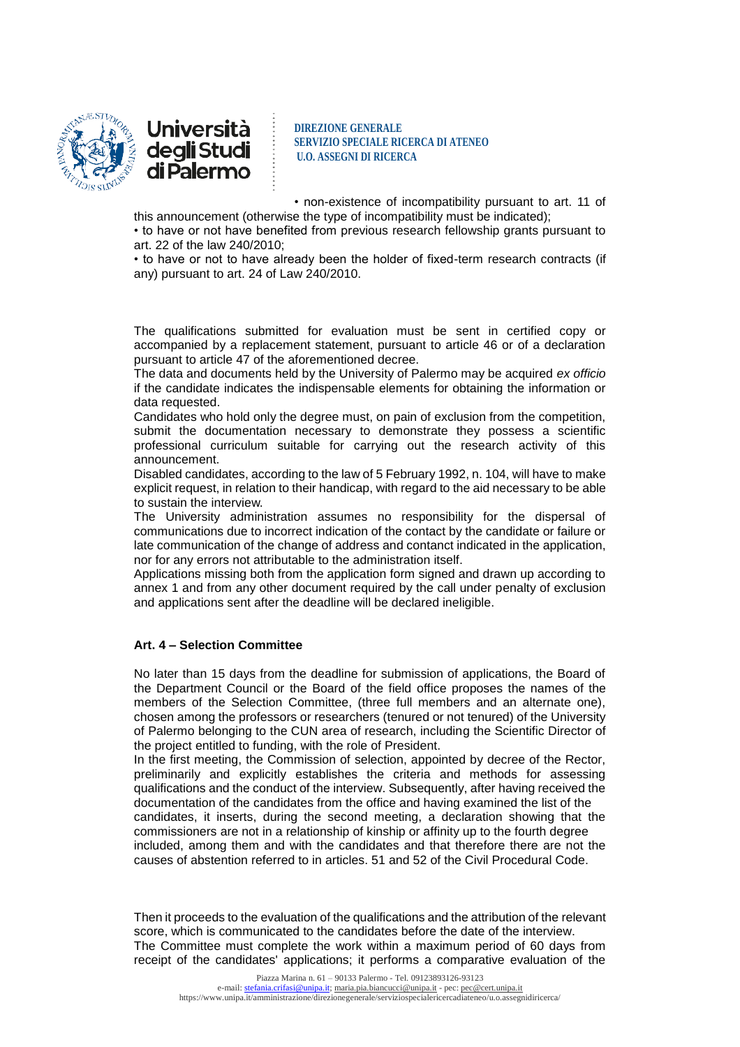



• non-existence of incompatibility pursuant to art. 11 of

this announcement (otherwise the type of incompatibility must be indicated); • to have or not have benefited from previous research fellowship grants pursuant to

art. 22 of the law 240/2010;

• to have or not to have already been the holder of fixed-term research contracts (if any) pursuant to art. 24 of Law 240/2010.

The qualifications submitted for evaluation must be sent in certified copy or accompanied by a replacement statement, pursuant to article 46 or of a declaration pursuant to article 47 of the aforementioned decree.

The data and documents held by the University of Palermo may be acquired *ex officio* if the candidate indicates the indispensable elements for obtaining the information or data requested.

Candidates who hold only the degree must, on pain of exclusion from the competition, submit the documentation necessary to demonstrate they possess a scientific professional curriculum suitable for carrying out the research activity of this announcement.

Disabled candidates, according to the law of 5 February 1992, n. 104, will have to make explicit request, in relation to their handicap, with regard to the aid necessary to be able to sustain the interview.

The University administration assumes no responsibility for the dispersal of communications due to incorrect indication of the contact by the candidate or failure or late communication of the change of address and contanct indicated in the application, nor for any errors not attributable to the administration itself.

Applications missing both from the application form signed and drawn up according to annex 1 and from any other document required by the call under penalty of exclusion and applications sent after the deadline will be declared ineligible.

# **Art. 4 – Selection Committee**

No later than 15 days from the deadline for submission of applications, the Board of the Department Council or the Board of the field office proposes the names of the members of the Selection Committee, (three full members and an alternate one), chosen among the professors or researchers (tenured or not tenured) of the University of Palermo belonging to the CUN area of research, including the Scientific Director of the project entitled to funding, with the role of President.

In the first meeting, the Commission of selection, appointed by decree of the Rector, preliminarily and explicitly establishes the criteria and methods for assessing qualifications and the conduct of the interview. Subsequently, after having received the documentation of the candidates from the office and having examined the list of the candidates, it inserts, during the second meeting, a declaration showing that the commissioners are not in a relationship of kinship or affinity up to the fourth degree included, among them and with the candidates and that therefore there are not the causes of abstention referred to in articles. 51 and 52 of the Civil Procedural Code.

Then it proceeds to the evaluation of the qualifications and the attribution of the relevant score, which is communicated to the candidates before the date of the interview. The Committee must complete the work within a maximum period of 60 days from receipt of the candidates' applications; it performs a comparative evaluation of the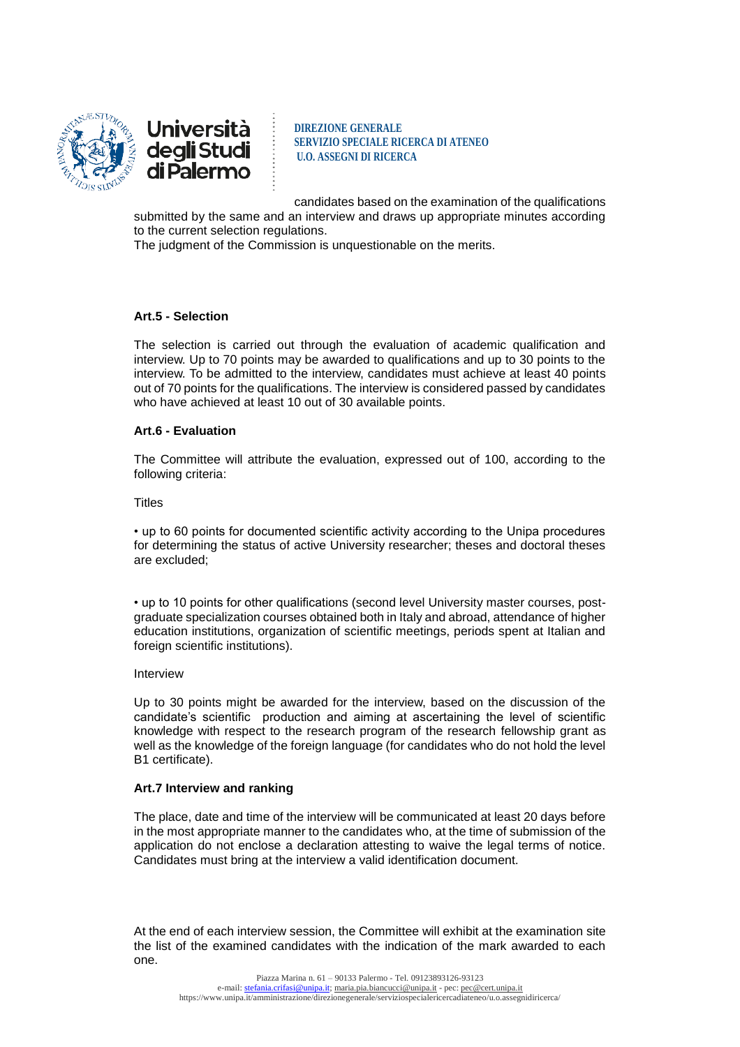



candidates based on the examination of the qualifications

submitted by the same and an interview and draws up appropriate minutes according to the current selection regulations.

The judgment of the Commission is unquestionable on the merits.

### **Art.5 - Selection**

The selection is carried out through the evaluation of academic qualification and interview. Up to 70 points may be awarded to qualifications and up to 30 points to the interview. To be admitted to the interview, candidates must achieve at least 40 points out of 70 points for the qualifications. The interview is considered passed by candidates who have achieved at least 10 out of 30 available points.

### **Art.6 - Evaluation**

The Committee will attribute the evaluation, expressed out of 100, according to the following criteria:

**Titles** 

• up to 60 points for documented scientific activity according to the Unipa procedures for determining the status of active University researcher; theses and doctoral theses are excluded;

• up to 10 points for other qualifications (second level University master courses, postgraduate specialization courses obtained both in Italy and abroad, attendance of higher education institutions, organization of scientific meetings, periods spent at Italian and foreign scientific institutions).

#### Interview

Up to 30 points might be awarded for the interview, based on the discussion of the candidate's scientific production and aiming at ascertaining the level of scientific knowledge with respect to the research program of the research fellowship grant as well as the knowledge of the foreign language (for candidates who do not hold the level B1 certificate).

#### **Art.7 Interview and ranking**

The place, date and time of the interview will be communicated at least 20 days before in the most appropriate manner to the candidates who, at the time of submission of the application do not enclose a declaration attesting to waive the legal terms of notice. Candidates must bring at the interview a valid identification document.

At the end of each interview session, the Committee will exhibit at the examination site the list of the examined candidates with the indication of the mark awarded to each one.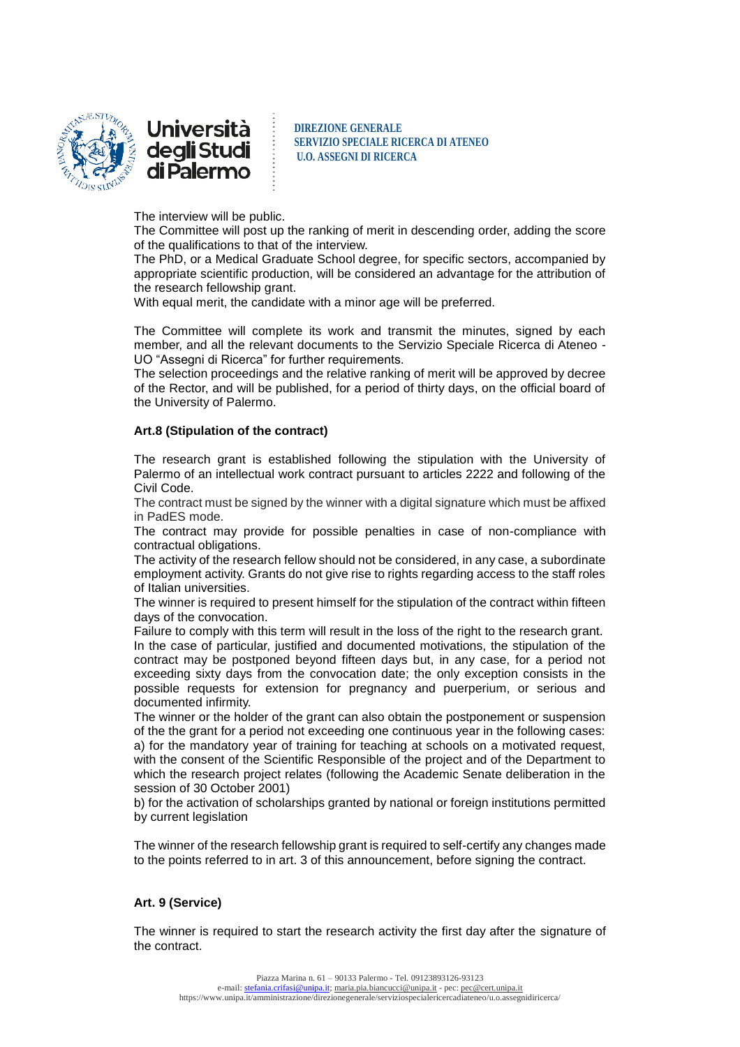



The interview will be public.

The Committee will post up the ranking of merit in descending order, adding the score of the qualifications to that of the interview.

The PhD, or a Medical Graduate School degree, for specific sectors, accompanied by appropriate scientific production, will be considered an advantage for the attribution of the research fellowship grant.

With equal merit, the candidate with a minor age will be preferred.

The Committee will complete its work and transmit the minutes, signed by each member, and all the relevant documents to the Servizio Speciale Ricerca di Ateneo - UO "Assegni di Ricerca" for further requirements.

The selection proceedings and the relative ranking of merit will be approved by decree of the Rector, and will be published, for a period of thirty days, on the official board of the University of Palermo.

#### **Art.8 (Stipulation of the contract)**

The research grant is established following the stipulation with the University of Palermo of an intellectual work contract pursuant to articles 2222 and following of the Civil Code.

The contract must be signed by the winner with a digital signature which must be affixed in PadES mode.

The contract may provide for possible penalties in case of non-compliance with contractual obligations.

The activity of the research fellow should not be considered, in any case, a subordinate employment activity. Grants do not give rise to rights regarding access to the staff roles of Italian universities.

The winner is required to present himself for the stipulation of the contract within fifteen days of the convocation.

Failure to comply with this term will result in the loss of the right to the research grant. In the case of particular, justified and documented motivations, the stipulation of the contract may be postponed beyond fifteen days but, in any case, for a period not exceeding sixty days from the convocation date; the only exception consists in the possible requests for extension for pregnancy and puerperium, or serious and documented infirmity.

The winner or the holder of the grant can also obtain the postponement or suspension of the the grant for a period not exceeding one continuous year in the following cases: a) for the mandatory year of training for teaching at schools on a motivated request, with the consent of the Scientific Responsible of the project and of the Department to which the research project relates (following the Academic Senate deliberation in the session of 30 October 2001)

b) for the activation of scholarships granted by national or foreign institutions permitted by current legislation

The winner of the research fellowship grant is required to self-certify any changes made to the points referred to in art. 3 of this announcement, before signing the contract.

# **Art. 9 (Service)**

The winner is required to start the research activity the first day after the signature of the contract.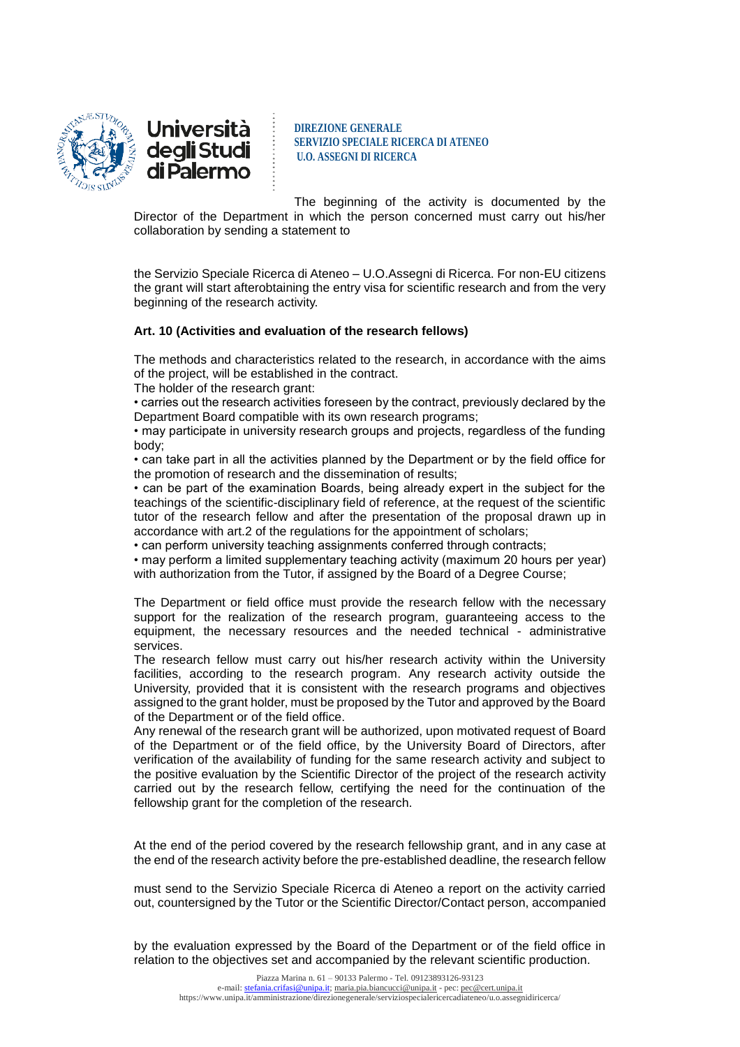



The beginning of the activity is documented by the Director of the Department in which the person concerned must carry out his/her collaboration by sending a statement to

the Servizio Speciale Ricerca di Ateneo – U.O.Assegni di Ricerca. For non-EU citizens the grant will start afterobtaining the entry visa for scientific research and from the very beginning of the research activity.

### **Art. 10 (Activities and evaluation of the research fellows)**

The methods and characteristics related to the research, in accordance with the aims of the project, will be established in the contract.

The holder of the research grant:

• carries out the research activities foreseen by the contract, previously declared by the Department Board compatible with its own research programs;

• may participate in university research groups and projects, regardless of the funding body;

• can take part in all the activities planned by the Department or by the field office for the promotion of research and the dissemination of results;

• can be part of the examination Boards, being already expert in the subject for the teachings of the scientific-disciplinary field of reference, at the request of the scientific tutor of the research fellow and after the presentation of the proposal drawn up in accordance with art.2 of the regulations for the appointment of scholars;

• can perform university teaching assignments conferred through contracts;

• may perform a limited supplementary teaching activity (maximum 20 hours per year) with authorization from the Tutor, if assigned by the Board of a Degree Course;

The Department or field office must provide the research fellow with the necessary support for the realization of the research program, guaranteeing access to the equipment, the necessary resources and the needed technical - administrative services.

The research fellow must carry out his/her research activity within the University facilities, according to the research program. Any research activity outside the University, provided that it is consistent with the research programs and objectives assigned to the grant holder, must be proposed by the Tutor and approved by the Board of the Department or of the field office.

Any renewal of the research grant will be authorized, upon motivated request of Board of the Department or of the field office, by the University Board of Directors, after verification of the availability of funding for the same research activity and subject to the positive evaluation by the Scientific Director of the project of the research activity carried out by the research fellow, certifying the need for the continuation of the fellowship grant for the completion of the research.

At the end of the period covered by the research fellowship grant, and in any case at the end of the research activity before the pre-established deadline, the research fellow

must send to the Servizio Speciale Ricerca di Ateneo a report on the activity carried out, countersigned by the Tutor or the Scientific Director/Contact person, accompanied

by the evaluation expressed by the Board of the Department or of the field office in relation to the objectives set and accompanied by the relevant scientific production.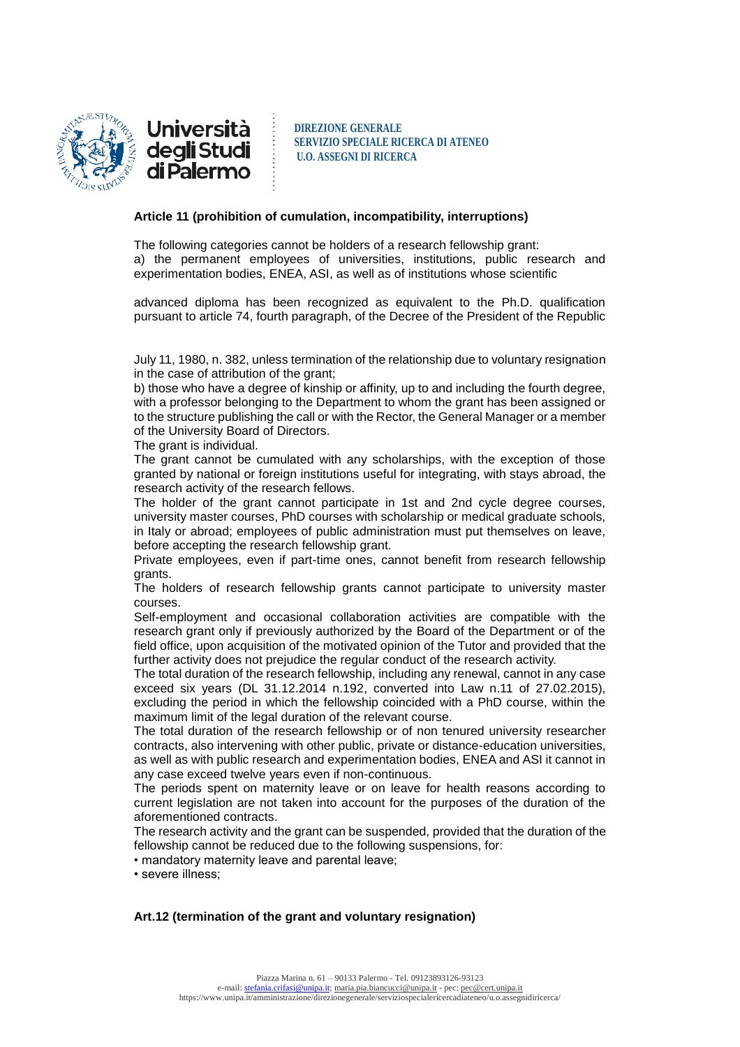

Università deg**li** Studi<br>di Palermo

**DIREZIONE GENERALE SERVIZIO SPECIALE RICERCA DI ATENEO U.O. ASSEGNI DI RICERCA**

#### **Article 11 (prohibition of cumulation, incompatibility, interruptions)**

The following categories cannot be holders of a research fellowship grant: a) the permanent employees of universities, institutions, public research and experimentation bodies, ENEA, ASI, as well as of institutions whose scientific

advanced diploma has been recognized as equivalent to the Ph.D. qualification pursuant to article 74, fourth paragraph, of the Decree of the President of the Republic

July 11, 1980, n. 382, unless termination of the relationship due to voluntary resignation in the case of attribution of the grant;

b) those who have a degree of kinship or affinity, up to and including the fourth degree, with a professor belonging to the Department to whom the grant has been assigned or to the structure publishing the call or with the Rector, the General Manager or a member of the University Board of Directors.

The grant is individual.

The grant cannot be cumulated with any scholarships, with the exception of those granted by national or foreign institutions useful for integrating, with stays abroad, the research activity of the research fellows.

The holder of the grant cannot participate in 1st and 2nd cycle degree courses, university master courses, PhD courses with scholarship or medical graduate schools, in Italy or abroad; employees of public administration must put themselves on leave, before accepting the research fellowship grant.

Private employees, even if part-time ones, cannot benefit from research fellowship grants.

The holders of research fellowship grants cannot participate to university master courses.

Self-employment and occasional collaboration activities are compatible with the research grant only if previously authorized by the Board of the Department or of the field office, upon acquisition of the motivated opinion of the Tutor and provided that the further activity does not prejudice the regular conduct of the research activity.

The total duration of the research fellowship, including any renewal, cannot in any case exceed six years (DL 31.12.2014 n.192, converted into Law n.11 of 27.02.2015), excluding the period in which the fellowship coincided with a PhD course, within the maximum limit of the legal duration of the relevant course.

The total duration of the research fellowship or of non tenured university researcher contracts, also intervening with other public, private or distance-education universities, as well as with public research and experimentation bodies, ENEA and ASI it cannot in any case exceed twelve years even if non-continuous.

The periods spent on maternity leave or on leave for health reasons according to current legislation are not taken into account for the purposes of the duration of the aforementioned contracts.

The research activity and the grant can be suspended, provided that the duration of the fellowship cannot be reduced due to the following suspensions, for:

• mandatory maternity leave and parental leave;

• severe illness;

# **Art.12 (termination of the grant and voluntary resignation)**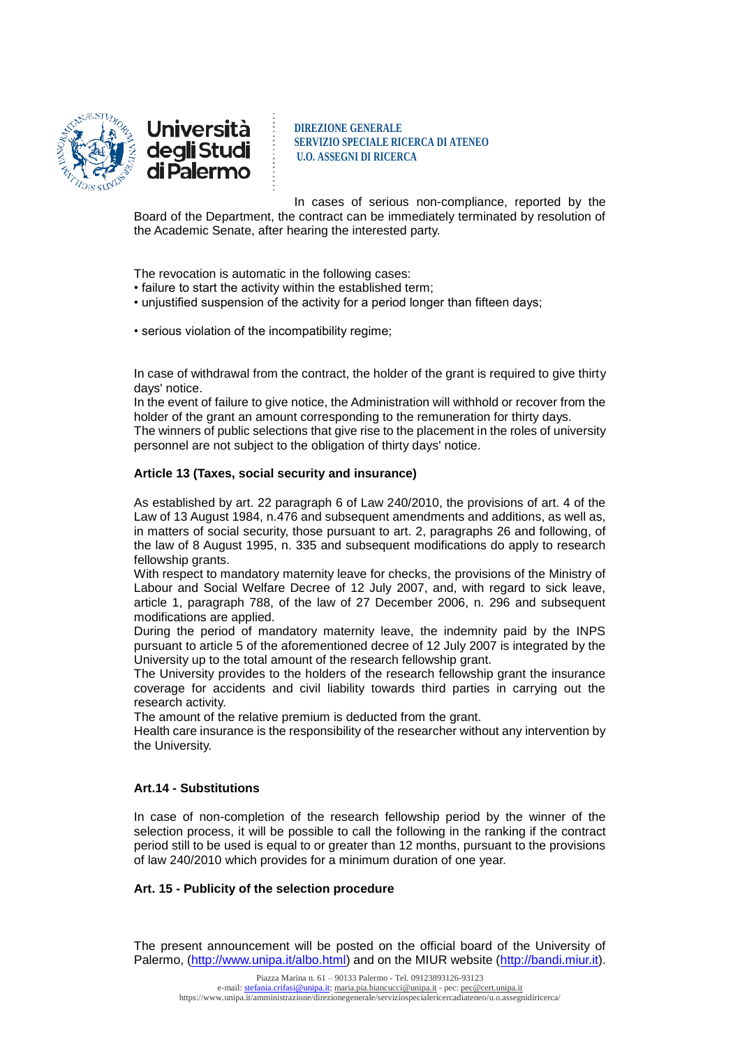



In cases of serious non-compliance, reported by the Board of the Department, the contract can be immediately terminated by resolution of the Academic Senate, after hearing the interested party.

The revocation is automatic in the following cases:

- failure to start the activity within the established term;
- unjustified suspension of the activity for a period longer than fifteen days;
- serious violation of the incompatibility regime;

In case of withdrawal from the contract, the holder of the grant is required to give thirty days' notice.

In the event of failure to give notice, the Administration will withhold or recover from the holder of the grant an amount corresponding to the remuneration for thirty days.

The winners of public selections that give rise to the placement in the roles of university personnel are not subject to the obligation of thirty days' notice.

### **Article 13 (Taxes, social security and insurance)**

As established by art. 22 paragraph 6 of Law 240/2010, the provisions of art. 4 of the Law of 13 August 1984, n.476 and subsequent amendments and additions, as well as, in matters of social security, those pursuant to art. 2, paragraphs 26 and following, of the law of 8 August 1995, n. 335 and subsequent modifications do apply to research fellowship grants.

With respect to mandatory maternity leave for checks, the provisions of the Ministry of Labour and Social Welfare Decree of 12 July 2007, and, with regard to sick leave, article 1, paragraph 788, of the law of 27 December 2006, n. 296 and subsequent modifications are applied.

During the period of mandatory maternity leave, the indemnity paid by the INPS pursuant to article 5 of the aforementioned decree of 12 July 2007 is integrated by the University up to the total amount of the research fellowship grant.

The University provides to the holders of the research fellowship grant the insurance coverage for accidents and civil liability towards third parties in carrying out the research activity.

The amount of the relative premium is deducted from the grant.

Health care insurance is the responsibility of the researcher without any intervention by the University.

#### **Art.14 - Substitutions**

In case of non-completion of the research fellowship period by the winner of the selection process, it will be possible to call the following in the ranking if the contract period still to be used is equal to or greater than 12 months, pursuant to the provisions of law 240/2010 which provides for a minimum duration of one year.

#### **Art. 15 - Publicity of the selection procedure**

The present announcement will be posted on the official board of the University of Palermo, [\(http://www.unipa.it/albo.html\)](http://www.unipa.it/albo.html) and on the MIUR website [\(http://bandi.miur.it\)](http://bandi.miur.it/).